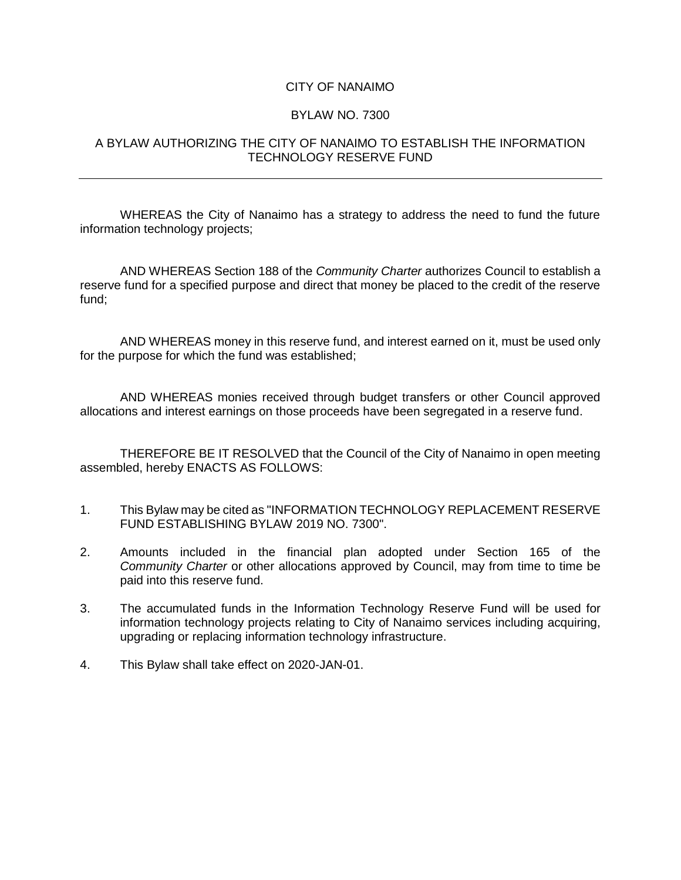## CITY OF NANAIMO

## BYLAW NO. 7300

## A BYLAW AUTHORIZING THE CITY OF NANAIMO TO ESTABLISH THE INFORMATION TECHNOLOGY RESERVE FUND

WHEREAS the City of Nanaimo has a strategy to address the need to fund the future information technology projects;

AND WHEREAS Section 188 of the *Community Charter* authorizes Council to establish a reserve fund for a specified purpose and direct that money be placed to the credit of the reserve fund;

AND WHEREAS money in this reserve fund, and interest earned on it, must be used only for the purpose for which the fund was established;

AND WHEREAS monies received through budget transfers or other Council approved allocations and interest earnings on those proceeds have been segregated in a reserve fund.

THEREFORE BE IT RESOLVED that the Council of the City of Nanaimo in open meeting assembled, hereby ENACTS AS FOLLOWS:

- 1. This Bylaw may be cited as "INFORMATION TECHNOLOGY REPLACEMENT RESERVE FUND ESTABLISHING BYLAW 2019 NO. 7300".
- 2. Amounts included in the financial plan adopted under Section 165 of the *Community Charter* or other allocations approved by Council, may from time to time be paid into this reserve fund.
- 3. The accumulated funds in the Information Technology Reserve Fund will be used for information technology projects relating to City of Nanaimo services including acquiring, upgrading or replacing information technology infrastructure.
- 4. This Bylaw shall take effect on 2020-JAN-01.